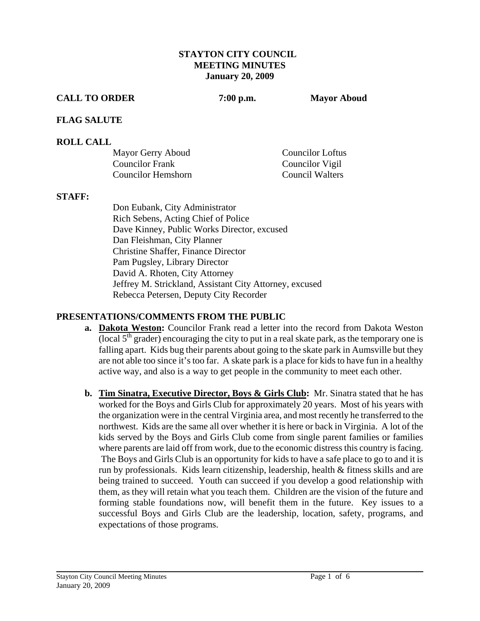### **STAYTON CITY COUNCIL MEETING MINUTES January 20, 2009**

### **CALL TO ORDER 7:00 p.m. Mayor Aboud**

### **FLAG SALUTE**

### **ROLL CALL**

| Mayor Gerry Aboud  | Councilor Loftus |
|--------------------|------------------|
| Councilor Frank    | Councilor Vigil  |
| Councilor Hemshorn | Council Walters  |

### **STAFF:**

Don Eubank, City Administrator Rich Sebens, Acting Chief of Police Dave Kinney, Public Works Director, excused Dan Fleishman, City Planner Christine Shaffer, Finance Director Pam Pugsley, Library Director David A. Rhoten, City Attorney Jeffrey M. Strickland, Assistant City Attorney, excused Rebecca Petersen, Deputy City Recorder

## **PRESENTATIONS/COMMENTS FROM THE PUBLIC**

- **a. Dakota Weston:** Councilor Frank read a letter into the record from Dakota Weston (local  $5<sup>th</sup>$  grader) encouraging the city to put in a real skate park, as the temporary one is falling apart. Kids bug their parents about going to the skate park in Aumsville but they are not able too since it's too far. A skate park is a place for kids to have fun in a healthy active way, and also is a way to get people in the community to meet each other.
- **b. Tim Sinatra, Executive Director, Boys & Girls Club:** Mr. Sinatra stated that he has worked for the Boys and Girls Club for approximately 20 years. Most of his years with the organization were in the central Virginia area, and most recently he transferred to the northwest. Kids are the same all over whether it is here or back in Virginia. A lot of the kids served by the Boys and Girls Club come from single parent families or families where parents are laid off from work, due to the economic distress this country is facing. The Boys and Girls Club is an opportunity for kids to have a safe place to go to and it is run by professionals. Kids learn citizenship, leadership, health & fitness skills and are being trained to succeed. Youth can succeed if you develop a good relationship with them, as they will retain what you teach them. Children are the vision of the future and forming stable foundations now, will benefit them in the future. Key issues to a successful Boys and Girls Club are the leadership, location, safety, programs, and expectations of those programs.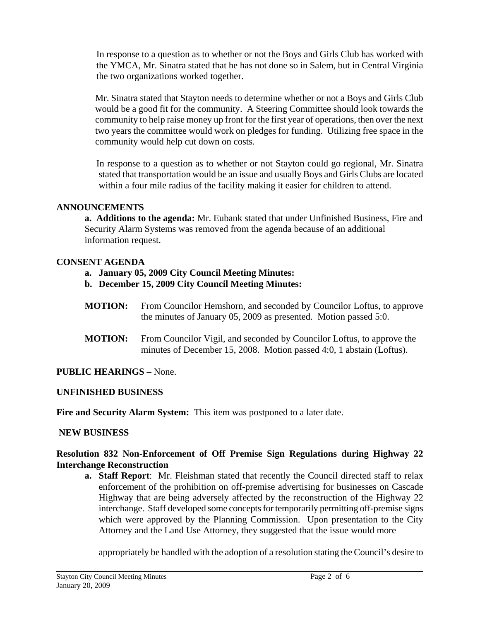In response to a question as to whether or not the Boys and Girls Club has worked with the YMCA, Mr. Sinatra stated that he has not done so in Salem, but in Central Virginia the two organizations worked together.

Mr. Sinatra stated that Stayton needs to determine whether or not a Boys and Girls Club would be a good fit for the community. A Steering Committee should look towards the community to help raise money up front for the first year of operations, then over the next two years the committee would work on pledges for funding. Utilizing free space in the community would help cut down on costs.

 In response to a question as to whether or not Stayton could go regional, Mr. Sinatra stated that transportation would be an issue and usually Boys and Girls Clubs are located within a four mile radius of the facility making it easier for children to attend.

### **ANNOUNCEMENTS**

 **a. Additions to the agenda:** Mr. Eubank stated that under Unfinished Business, Fire and Security Alarm Systems was removed from the agenda because of an additional information request.

### **CONSENT AGENDA**

- **a. January 05, 2009 City Council Meeting Minutes:**
- **b. December 15, 2009 City Council Meeting Minutes:**
- **MOTION:** From Councilor Hemshorn, and seconded by Councilor Loftus, to approve the minutes of January 05, 2009 as presented. Motion passed 5:0.
- **MOTION:** From Councilor Vigil, and seconded by Councilor Loftus, to approve the minutes of December 15, 2008. Motion passed 4:0, 1 abstain (Loftus).

## **PUBLIC HEARINGS –** None.

## **UNFINISHED BUSINESS**

**Fire and Security Alarm System:** This item was postponed to a later date.

## **NEW BUSINESS**

### **Resolution 832 Non-Enforcement of Off Premise Sign Regulations during Highway 22 Interchange Reconstruction**

**a. Staff Report**: Mr. Fleishman stated that recently the Council directed staff to relax enforcement of the prohibition on off-premise advertising for businesses on Cascade Highway that are being adversely affected by the reconstruction of the Highway 22 interchange. Staff developed some concepts for temporarily permitting off-premise signs which were approved by the Planning Commission. Upon presentation to the City Attorney and the Land Use Attorney, they suggested that the issue would more

appropriately be handled with the adoption of a resolution stating the Council's desire to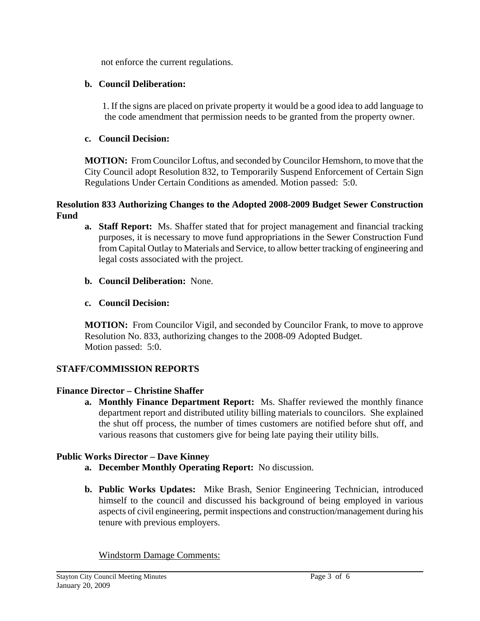not enforce the current regulations.

## **b. Council Deliberation:**

1. If the signs are placed on private property it would be a good idea to add language to the code amendment that permission needs to be granted from the property owner.

## **c. Council Decision:**

**MOTION:** From Councilor Loftus, and seconded by Councilor Hemshorn, to move that the City Council adopt Resolution 832, to Temporarily Suspend Enforcement of Certain Sign Regulations Under Certain Conditions as amended. Motion passed: 5:0.

## **Resolution 833 Authorizing Changes to the Adopted 2008-2009 Budget Sewer Construction Fund**

- **a. Staff Report:** Ms. Shaffer stated that for project management and financial tracking purposes, it is necessary to move fund appropriations in the Sewer Construction Fund from Capital Outlay to Materials and Service, to allow better tracking of engineering and legal costs associated with the project.
- **b. Council Deliberation:** None.

# **c. Council Decision:**

**MOTION:** From Councilor Vigil, and seconded by Councilor Frank, to move to approve Resolution No. 833, authorizing changes to the 2008-09 Adopted Budget. Motion passed: 5:0.

# **STAFF/COMMISSION REPORTS**

# **Finance Director – Christine Shaffer**

**a. Monthly Finance Department Report:** Ms. Shaffer reviewed the monthly finance department report and distributed utility billing materials to councilors. She explained the shut off process, the number of times customers are notified before shut off, and various reasons that customers give for being late paying their utility bills.

# **Public Works Director – Dave Kinney**

- **a. December Monthly Operating Report:** No discussion.
- **b. Public Works Updates:** Mike Brash, Senior Engineering Technician, introduced himself to the council and discussed his background of being employed in various aspects of civil engineering, permit inspections and construction/management during his tenure with previous employers.

Windstorm Damage Comments: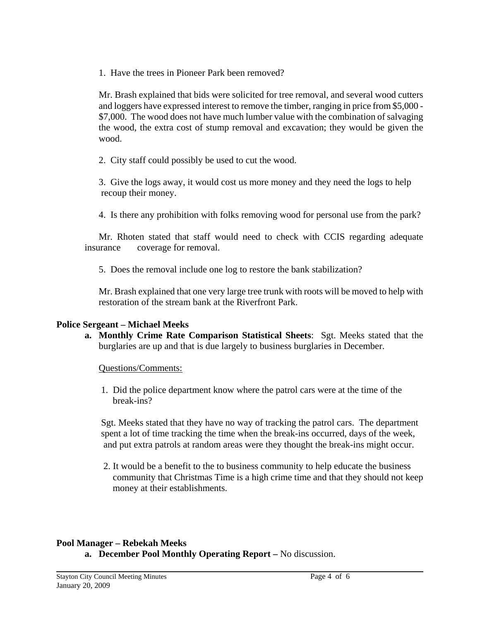1. Have the trees in Pioneer Park been removed?

Mr. Brash explained that bids were solicited for tree removal, and several wood cutters and loggers have expressed interest to remove the timber, ranging in price from \$5,000 - \$7,000. The wood does not have much lumber value with the combination of salvaging the wood, the extra cost of stump removal and excavation; they would be given the wood.

2. City staff could possibly be used to cut the wood.

 3. Give the logs away, it would cost us more money and they need the logs to help recoup their money.

4. Is there any prohibition with folks removing wood for personal use from the park?

 Mr. Rhoten stated that staff would need to check with CCIS regarding adequate insurance coverage for removal.

5. Does the removal include one log to restore the bank stabilization?

Mr. Brash explained that one very large tree trunk with roots will be moved to help with restoration of the stream bank at the Riverfront Park.

### **Police Sergeant – Michael Meeks**

**a. Monthly Crime Rate Comparison Statistical Sheets**: Sgt. Meeks stated that the burglaries are up and that is due largely to business burglaries in December.

Questions/Comments:

 1. Did the police department know where the patrol cars were at the time of the break-ins?

Sgt. Meeks stated that they have no way of tracking the patrol cars. The department spent a lot of time tracking the time when the break-ins occurred, days of the week, and put extra patrols at random areas were they thought the break-ins might occur.

 2. It would be a benefit to the to business community to help educate the business community that Christmas Time is a high crime time and that they should not keep money at their establishments.

### **Pool Manager – Rebekah Meeks a. December Pool Monthly Operating Report –** No discussion.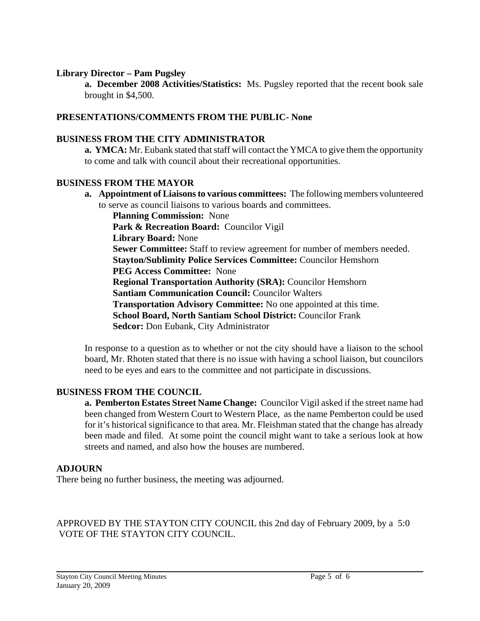### **Library Director – Pam Pugsley**

 **a. December 2008 Activities/Statistics:** Ms. Pugsley reported that the recent book sale brought in \$4,500.

### **PRESENTATIONS/COMMENTS FROM THE PUBLIC- None**

### **BUSINESS FROM THE CITY ADMINISTRATOR**

 **a. YMCA:** Mr. Eubank stated that staff will contact the YMCA to give them the opportunity to come and talk with council about their recreational opportunities.

#### **BUSINESS FROM THE MAYOR**

**a. Appointment of Liaisons to various committees:** The following members volunteered to serve as council liaisons to various boards and committees.

 **Planning Commission:** None Park & Recreation Board: Councilor Vigil  **Library Board:** None **Sewer Committee:** Staff to review agreement for number of members needed.  **Stayton/Sublimity Police Services Committee:** Councilor Hemshorn  **PEG Access Committee:** None  **Regional Transportation Authority (SRA):** Councilor Hemshorn  **Santiam Communication Council:** Councilor Walters  **Transportation Advisory Committee:** No one appointed at this time.  **School Board, North Santiam School District:** Councilor Frank  **Sedcor:** Don Eubank, City Administrator

In response to a question as to whether or not the city should have a liaison to the school board, Mr. Rhoten stated that there is no issue with having a school liaison, but councilors need to be eyes and ears to the committee and not participate in discussions.

### **BUSINESS FROM THE COUNCIL**

 **a. Pemberton Estates Street Name Change:** Councilor Vigil asked if the street name had been changed from Western Court to Western Place, as the name Pemberton could be used for it's historical significance to that area. Mr. Fleishman stated that the change has already been made and filed. At some point the council might want to take a serious look at how streets and named, and also how the houses are numbered.

#### **ADJOURN**

There being no further business, the meeting was adjourned.

APPROVED BY THE STAYTON CITY COUNCIL this 2nd day of February 2009, by a 5:0 VOTE OF THE STAYTON CITY COUNCIL.